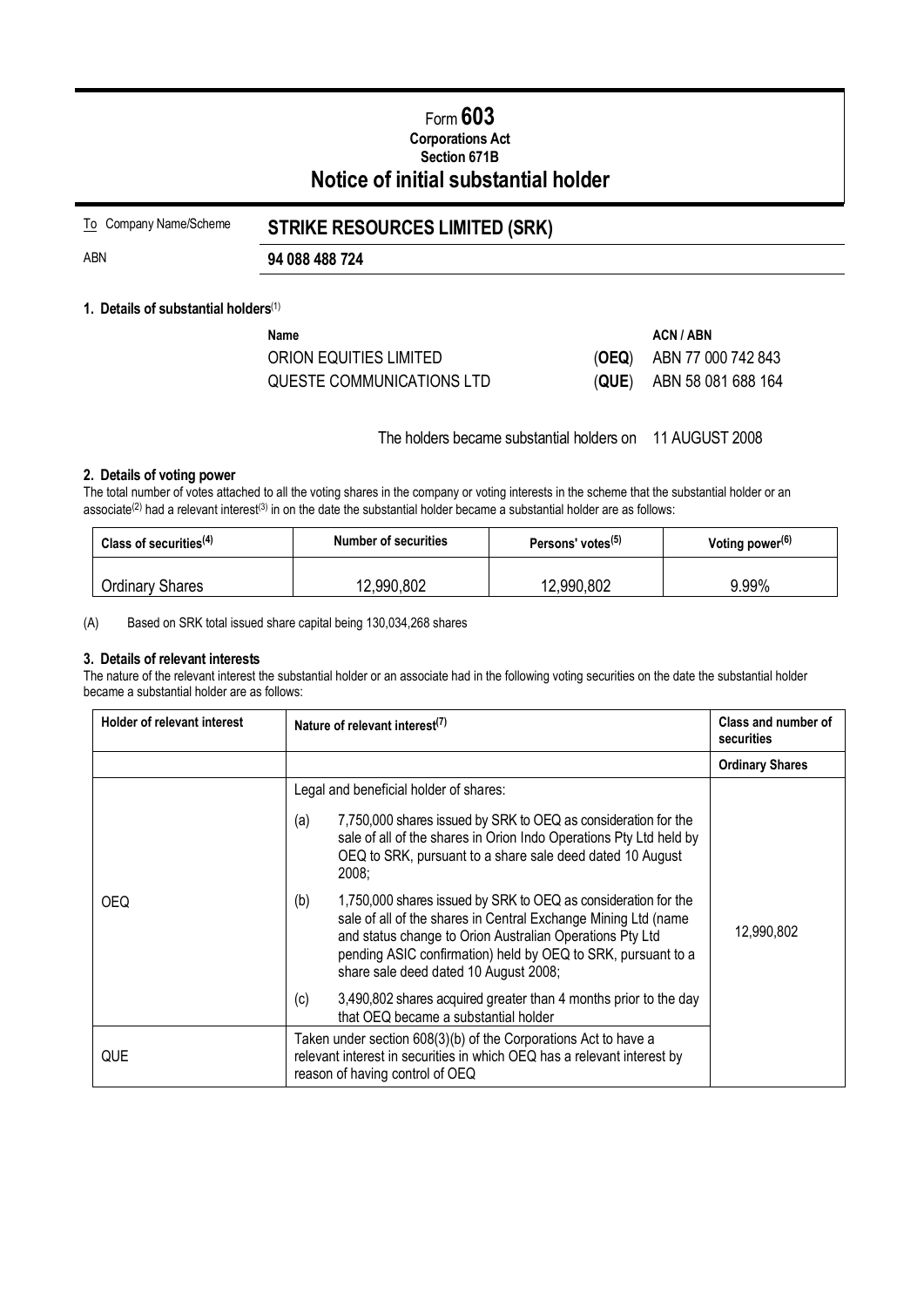# Form **603 Corporations Act Section 671B Notice of initial substantial holder**

| To Company Name/Scheme | <b>STRIKE RESOURCES LIMITED (SRK)</b> |  |
|------------------------|---------------------------------------|--|
| ABN                    | 94 088 488 724                        |  |

#### **1. Details of substantial holders**(1)

| Name                      | ACN / ABN                  |
|---------------------------|----------------------------|
| ORION EQUITIES LIMITED    | $(OEQ)$ ABN 77 000 742 843 |
| QUESTE COMMUNICATIONS LTD | $(QUE)$ ABN 58 081 688 164 |

The holders became substantial holders on 11 AUGUST 2008

### **2. Details of voting power**

The total number of votes attached to all the voting shares in the company or voting interests in the scheme that the substantial holder or an associate<sup>(2)</sup> had a relevant interest<sup>(3)</sup> in on the date the substantial holder became a substantial holder are as follows:

| Class of securities $(4)$ | <b>Number of securities</b> | Persons' votes <sup>(5)</sup> | Voting power $(6)$ |
|---------------------------|-----------------------------|-------------------------------|--------------------|
| <b>Ordinary Shares</b>    | 12,990,802                  | 12,990,802                    | 9.99%              |

(A) Based on SRK total issued share capital being 130,034,268 shares

#### **3. Details of relevant interests**

The nature of the relevant interest the substantial holder or an associate had in the following voting securities on the date the substantial holder became a substantial holder are as follows:

| <b>Holder of relevant interest</b> | Nature of relevant interest <sup>(7)</sup>                                                                                                                                                                                                                                                                   | Class and number of<br>securities |
|------------------------------------|--------------------------------------------------------------------------------------------------------------------------------------------------------------------------------------------------------------------------------------------------------------------------------------------------------------|-----------------------------------|
|                                    |                                                                                                                                                                                                                                                                                                              | <b>Ordinary Shares</b>            |
|                                    | Legal and beneficial holder of shares:                                                                                                                                                                                                                                                                       |                                   |
|                                    | 7,750,000 shares issued by SRK to OEQ as consideration for the<br>(a)<br>sale of all of the shares in Orion Indo Operations Pty Ltd held by<br>OEQ to SRK, pursuant to a share sale deed dated 10 August<br>2008;                                                                                            |                                   |
| <b>OEQ</b>                         | 1,750,000 shares issued by SRK to OEQ as consideration for the<br>(b)<br>sale of all of the shares in Central Exchange Mining Ltd (name<br>and status change to Orion Australian Operations Pty Ltd<br>pending ASIC confirmation) held by OEQ to SRK, pursuant to a<br>share sale deed dated 10 August 2008; | 12,990,802                        |
|                                    | 3,490,802 shares acquired greater than 4 months prior to the day<br>(c)<br>that OEQ became a substantial holder                                                                                                                                                                                              |                                   |
| QUE                                | Taken under section 608(3)(b) of the Corporations Act to have a<br>relevant interest in securities in which OEQ has a relevant interest by<br>reason of having control of OEQ                                                                                                                                |                                   |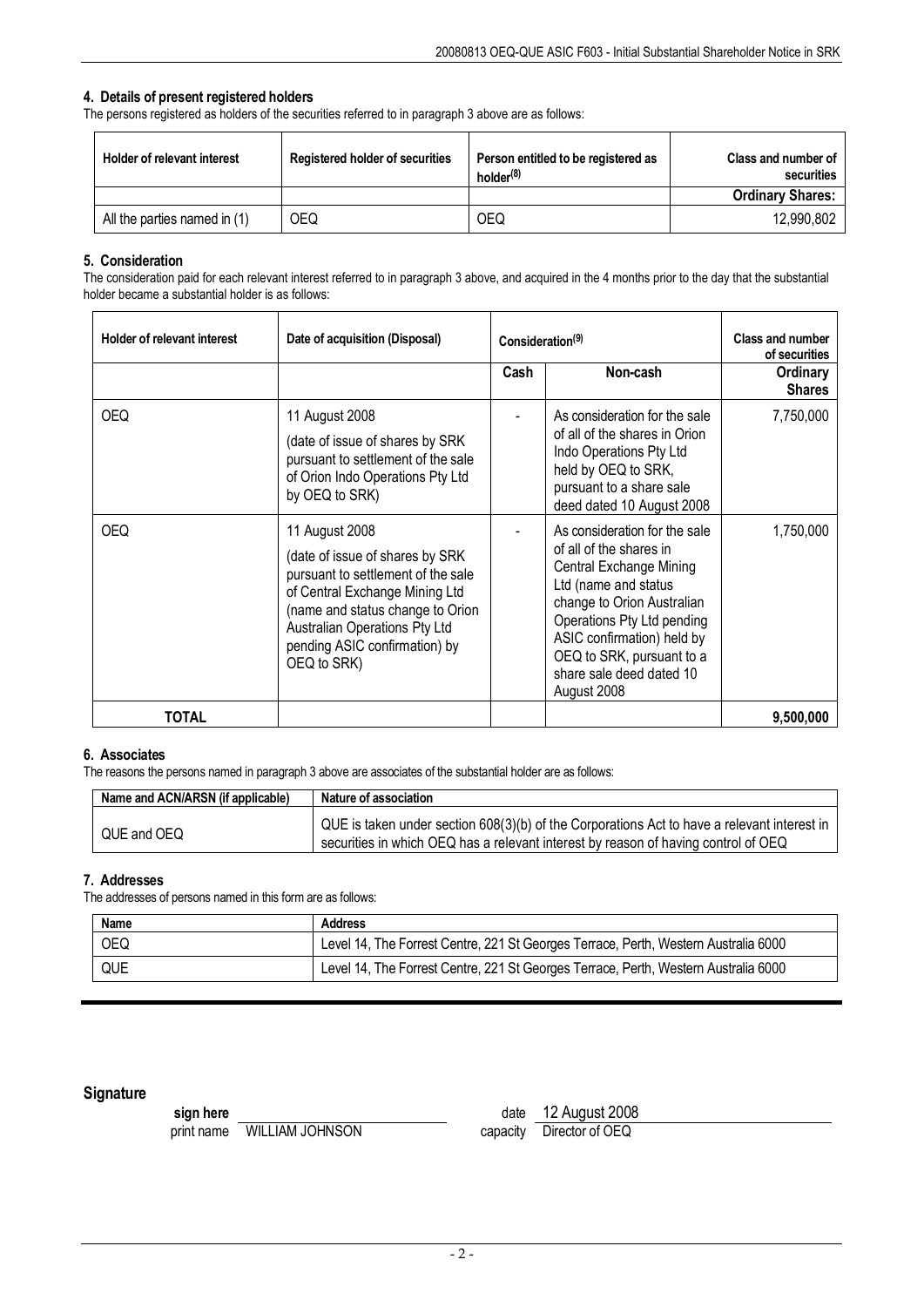## **4. Details of present registered holders**

The persons registered as holders of the securities referred to in paragraph 3 above are as follows:

| Holder of relevant interest  | <b>Registered holder of securities</b> | Person entitled to be registered as<br>holder <sup>(8)</sup> | Class and number of<br>securities |
|------------------------------|----------------------------------------|--------------------------------------------------------------|-----------------------------------|
|                              |                                        |                                                              | <b>Ordinary Shares:</b>           |
| All the parties named in (1) | OEQ                                    | OEQ                                                          | 12.990.802                        |

## **5. Consideration**

The consideration paid for each relevant interest referred to in paragraph 3 above, and acquired in the 4 months prior to the day that the substantial holder became a substantial holder is as follows:

| <b>Holder of relevant interest</b> | Date of acquisition (Disposal)                                                                                                                                                                                                                  | Consideration <sup>(9)</sup> |                                                                                                                                                                                                                                                                               | <b>Class and number</b><br>of securities |
|------------------------------------|-------------------------------------------------------------------------------------------------------------------------------------------------------------------------------------------------------------------------------------------------|------------------------------|-------------------------------------------------------------------------------------------------------------------------------------------------------------------------------------------------------------------------------------------------------------------------------|------------------------------------------|
|                                    |                                                                                                                                                                                                                                                 | Cash                         | Non-cash                                                                                                                                                                                                                                                                      | Ordinary<br><b>Shares</b>                |
| <b>OEQ</b>                         | 11 August 2008<br>(date of issue of shares by SRK)<br>pursuant to settlement of the sale<br>of Orion Indo Operations Pty Ltd<br>by OEQ to SRK)                                                                                                  |                              | As consideration for the sale<br>of all of the shares in Orion<br>Indo Operations Pty Ltd<br>held by OEQ to SRK,<br>pursuant to a share sale<br>deed dated 10 August 2008                                                                                                     | 7,750,000                                |
| <b>OEQ</b>                         | 11 August 2008<br>(date of issue of shares by SRK)<br>pursuant to settlement of the sale<br>of Central Exchange Mining Ltd<br>(name and status change to Orion<br>Australian Operations Pty Ltd<br>pending ASIC confirmation) by<br>OEQ to SRK) |                              | As consideration for the sale<br>of all of the shares in<br>Central Exchange Mining<br>Ltd (name and status<br>change to Orion Australian<br>Operations Pty Ltd pending<br>ASIC confirmation) held by<br>OEQ to SRK, pursuant to a<br>share sale deed dated 10<br>August 2008 | 1,750,000                                |
| TOTAL                              |                                                                                                                                                                                                                                                 |                              |                                                                                                                                                                                                                                                                               | 9,500,000                                |

### **6. Associates**

The reasons the persons named in paragraph 3 above are associates of the substantial holder are as follows:

| Name and ACN/ARSN (if applicable) | Nature of association                                                                                                                                                             |
|-----------------------------------|-----------------------------------------------------------------------------------------------------------------------------------------------------------------------------------|
| QUE and OEQ                       | QUE is taken under section 608(3)(b) of the Corporations Act to have a relevant interest in<br>securities in which OEQ has a relevant interest by reason of having control of OEQ |

### **7. Addresses**

The addresses of persons named in this form are as follows:

| Name | <b>Address</b>                                                                      |
|------|-------------------------------------------------------------------------------------|
| OEQ  | Level 14, The Forrest Centre, 221 St Georges Terrace, Perth, Western Australia 6000 |
| QUE  | Level 14, The Forrest Centre, 221 St Georges Terrace, Perth, Western Australia 6000 |

## **Signature**

print name WILLIAM JOHNSON

**sign here**<br>
print name WILLIAM JOHNSON<br>
print name WILLIAM JOHNSON<br>
capacity Director of OEQ